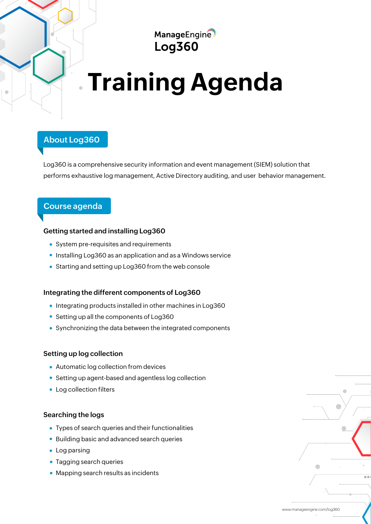ManageEngine **Log360** 

# **Training Agenda**

# **About Log360**

Log360 is a comprehensive security information and event management (SIEM) solution that performs exhaustive log management, Active Directory auditing, and user behavior management.

# **Course agenda**

## **Getting started and installing Log360**

- System pre-requisites and requirements
- Installing Log360 as an application and as a Windows service
- Starting and setting up Log360 from the web console

#### **Integrating the different components of Log360**

- Integrating products installed in other machines in Log360
- Setting up all the components of Log360
- Synchronizing the data between the integrated components

#### **Setting up log collection**

- Automatic log collection from devices
- Setting up agent-based and agentless log collection
- Log collection filters

#### **Searching the logs**

- Types of search queries and their functionalities
- Building basic and advanced search queries
- Log parsing
- Tagging search queries
- Mapping search results as incidents

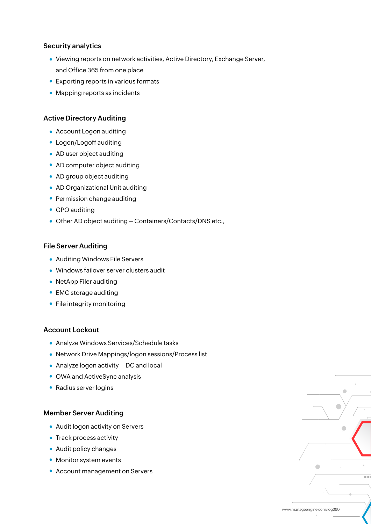#### **Security analytics**

- Viewing reports on network activities, Active Directory, Exchange Server, and Office 365 from one place
- Exporting reports in various formats
- Mapping reports as incidents

#### **Active Directory Auditing**

- Account Logon auditing
- Logon/Logoff auditing
- AD user object auditing
- AD computer object auditing
- AD group object auditing
- AD Organizational Unit auditing
- Permission change auditing
- GPO auditing
- Other AD object auditing Containers/Contacts/DNS etc.,

#### **File Server Auditing**

- Auditing Windows File Servers
- Windows failover server clusters audit
- NetApp Filer auditing
- EMC storage auditing
- File integrity monitoring

## **Account Lockout**

- Analyze Windows Services/Schedule tasks
- Network Drive Mappings/logon sessions/Process list
- Analyze logon activity DC and local
- OWA and ActiveSync analysis
- Radius server logins

#### **Member Server Auditing**

- Audit logon activity on Servers
- Track process activity
- Audit policy changes
- Monitor system events
- Account management on Servers

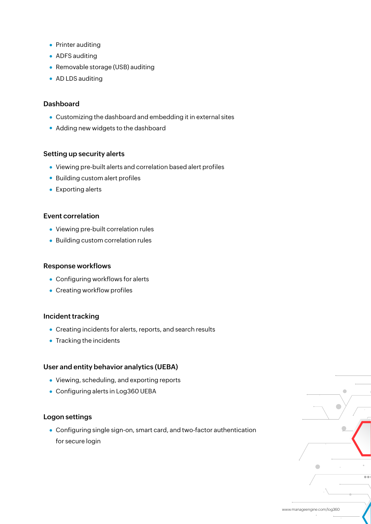- Printer auditing
- ADFS auditing
- Removable storage (USB) auditing
- AD LDS auditing

#### **Dashboard**

- Customizing the dashboard and embedding it in external sites
- Adding new widgets to the dashboard

#### **Setting up security alerts**

- Viewing pre-built alerts and correlation based alert profiles
- Building custom alert profiles
- **•** Exporting alerts

#### **Event correlation**

- Viewing pre-built correlation rules
- Building custom correlation rules

#### **Response workflows**

- Configuring workflows for alerts
- Creating workflow profiles

#### **Incident tracking**

- Creating incidents for alerts, reports, and search results
- Tracking the incidents

#### **User and entity behavior analytics (UEBA)**

- Viewing, scheduling, and exporting reports
- Configuring alerts in Log360 UEBA

#### **Logon settings**

Configuring single sign-on, smart card, and two-factor authentication for secure login